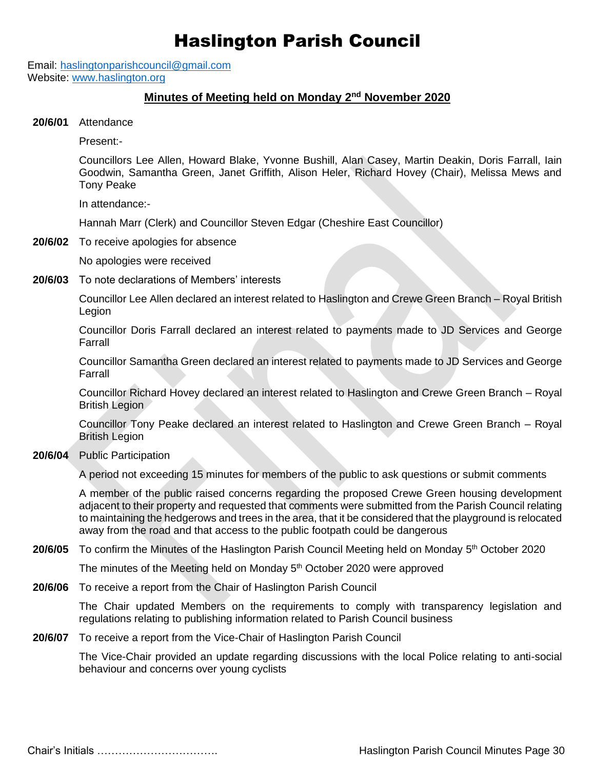## Haslington Parish Council

Email: [haslingtonparishcouncil@gmail.com](mailto:haslingtonparishcouncil@gmail.com) Website: [www.haslington.org](http://www.haslington.org/)

## **Minutes of Meeting held on Monday 2<sup>nd</sup> November 2020**

**20/6/01** Attendance

Present:-

Councillors Lee Allen, Howard Blake, Yvonne Bushill, Alan Casey, Martin Deakin, Doris Farrall, Iain Goodwin, Samantha Green, Janet Griffith, Alison Heler, Richard Hovey (Chair), Melissa Mews and Tony Peake

In attendance:-

Hannah Marr (Clerk) and Councillor Steven Edgar (Cheshire East Councillor)

**20/6/02** To receive apologies for absence

No apologies were received

**20/6/03** To note declarations of Members' interests

Councillor Lee Allen declared an interest related to Haslington and Crewe Green Branch – Royal British Legion

Councillor Doris Farrall declared an interest related to payments made to JD Services and George Farrall

Councillor Samantha Green declared an interest related to payments made to JD Services and George Farrall

Councillor Richard Hovey declared an interest related to Haslington and Crewe Green Branch – Royal British Legion

Councillor Tony Peake declared an interest related to Haslington and Crewe Green Branch – Royal British Legion

**20/6/04** Public Participation

A period not exceeding 15 minutes for members of the public to ask questions or submit comments

A member of the public raised concerns regarding the proposed Crewe Green housing development adjacent to their property and requested that comments were submitted from the Parish Council relating to maintaining the hedgerows and trees in the area, that it be considered that the playground is relocated away from the road and that access to the public footpath could be dangerous

## 20/6/05 To confirm the Minutes of the Haslington Parish Council Meeting held on Monday 5<sup>th</sup> October 2020

The minutes of the Meeting held on Monday 5<sup>th</sup> October 2020 were approved

**20/6/06** To receive a report from the Chair of Haslington Parish Council

The Chair updated Members on the requirements to comply with transparency legislation and regulations relating to publishing information related to Parish Council business

**20/6/07** To receive a report from the Vice-Chair of Haslington Parish Council

The Vice-Chair provided an update regarding discussions with the local Police relating to anti-social behaviour and concerns over young cyclists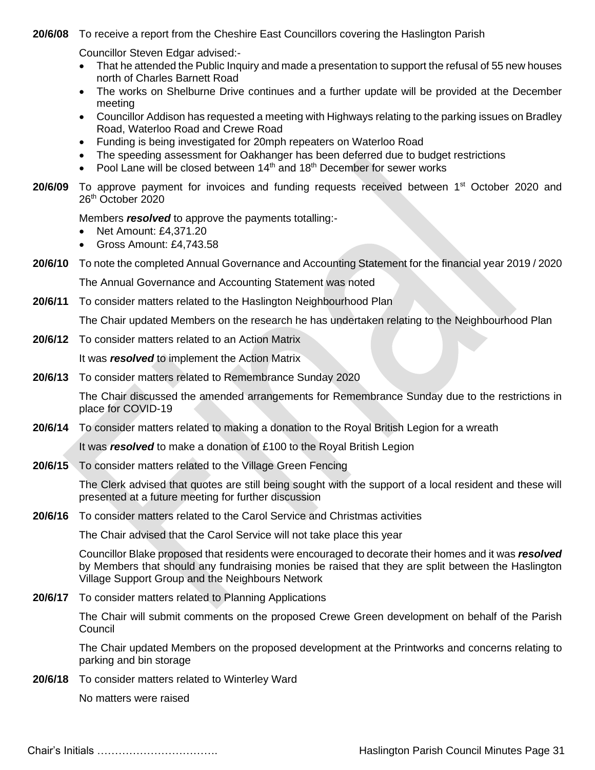**20/6/08** To receive a report from the Cheshire East Councillors covering the Haslington Parish

Councillor Steven Edgar advised:-

- That he attended the Public Inquiry and made a presentation to support the refusal of 55 new houses north of Charles Barnett Road
- The works on Shelburne Drive continues and a further update will be provided at the December meeting
- Councillor Addison has requested a meeting with Highways relating to the parking issues on Bradley Road, Waterloo Road and Crewe Road
- Funding is being investigated for 20mph repeaters on Waterloo Road
- The speeding assessment for Oakhanger has been deferred due to budget restrictions
- Pool Lane will be closed between  $14<sup>th</sup>$  and  $18<sup>th</sup>$  December for sewer works
- 20/6/09 To approve payment for invoices and funding requests received between 1<sup>st</sup> October 2020 and 26th October 2020

Members *resolved* to approve the payments totalling:-

- Net Amount: £4.371.20
- Gross Amount: £4,743.58
- **20/6/10** To note the completed Annual Governance and Accounting Statement for the financial year 2019 / 2020

The Annual Governance and Accounting Statement was noted

**20/6/11** To consider matters related to the Haslington Neighbourhood Plan

The Chair updated Members on the research he has undertaken relating to the Neighbourhood Plan

**20/6/12** To consider matters related to an Action Matrix

It was *resolved* to implement the Action Matrix

**20/6/13** To consider matters related to Remembrance Sunday 2020

The Chair discussed the amended arrangements for Remembrance Sunday due to the restrictions in place for COVID-19

**20/6/14** To consider matters related to making a donation to the Royal British Legion for a wreath

It was *resolved* to make a donation of £100 to the Royal British Legion

**20/6/15** To consider matters related to the Village Green Fencing

The Clerk advised that quotes are still being sought with the support of a local resident and these will presented at a future meeting for further discussion

**20/6/16** To consider matters related to the Carol Service and Christmas activities

The Chair advised that the Carol Service will not take place this year

Councillor Blake proposed that residents were encouraged to decorate their homes and it was *resolved* by Members that should any fundraising monies be raised that they are split between the Haslington Village Support Group and the Neighbours Network

**20/6/17** To consider matters related to Planning Applications

The Chair will submit comments on the proposed Crewe Green development on behalf of the Parish Council

The Chair updated Members on the proposed development at the Printworks and concerns relating to parking and bin storage

**20/6/18** To consider matters related to Winterley Ward

No matters were raised